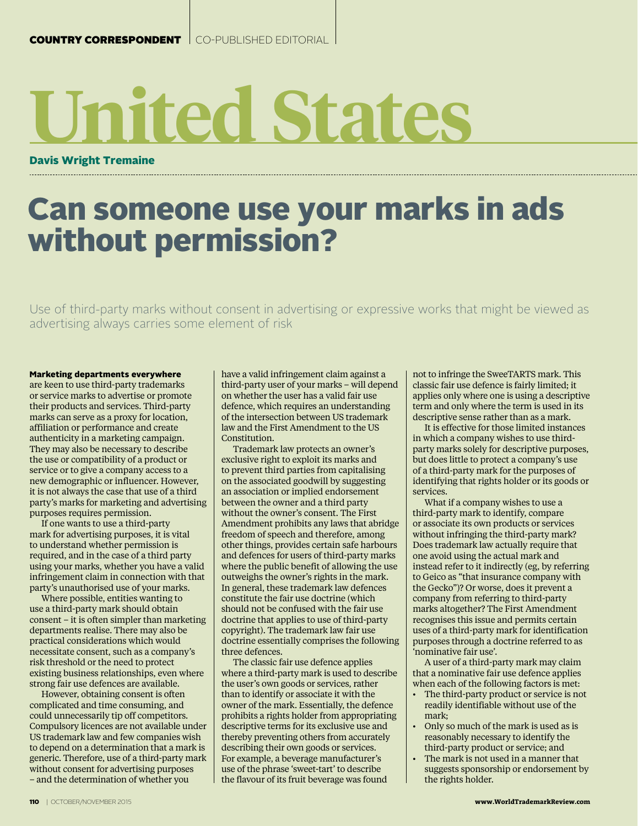## **United States**

Davis Wright Tremaine

## Can someone use your marks in ads without permission?

Use of third-party marks without consent in advertising or expressive works that might be viewed as advertising always carries some element of risk

## Marketing departments everywhere

are keen to use third-party trademarks or service marks to advertise or promote their products and services. Third-party marks can serve as a proxy for location, affiliation or performance and create authenticity in a marketing campaign. They may also be necessary to describe the use or compatibility of a product or service or to give a company access to a new demographic or influencer. However, it is not always the case that use of a third party's marks for marketing and advertising purposes requires permission.

If one wants to use a third-party mark for advertising purposes, it is vital to understand whether permission is required, and in the case of a third party using your marks, whether you have a valid infringement claim in connection with that party's unauthorised use of your marks.

Where possible, entities wanting to use a third-party mark should obtain consent – it is often simpler than marketing departments realise. There may also be practical considerations which would necessitate consent, such as a company's risk threshold or the need to protect existing business relationships, even where strong fair use defences are available.

However, obtaining consent is often complicated and time consuming, and could unnecessarily tip off competitors. Compulsory licences are not available under US trademark law and few companies wish to depend on a determination that a mark is generic. Therefore, use of a third-party mark without consent for advertising purposes – and the determination of whether you

have a valid infringement claim against a third-party user of your marks – will depend on whether the user has a valid fair use defence, which requires an understanding of the intersection between US trademark law and the First Amendment to the US Constitution.

Trademark law protects an owner's exclusive right to exploit its marks and to prevent third parties from capitalising on the associated goodwill by suggesting an association or implied endorsement between the owner and a third party without the owner's consent. The First Amendment prohibits any laws that abridge freedom of speech and therefore, among other things, provides certain safe harbours and defences for users of third-party marks where the public benefit of allowing the use outweighs the owner's rights in the mark. In general, these trademark law defences constitute the fair use doctrine (which should not be confused with the fair use doctrine that applies to use of third-party copyright). The trademark law fair use doctrine essentially comprises the following three defences.

The classic fair use defence applies where a third-party mark is used to describe the user's own goods or services, rather than to identify or associate it with the owner of the mark. Essentially, the defence prohibits a rights holder from appropriating descriptive terms for its exclusive use and thereby preventing others from accurately describing their own goods or services. For example, a beverage manufacturer's use of the phrase 'sweet-tart' to describe the flavour of its fruit beverage was found

not to infringe the SweeTARTS mark. This classic fair use defence is fairly limited; it applies only where one is using a descriptive term and only where the term is used in its descriptive sense rather than as a mark.

It is effective for those limited instances in which a company wishes to use thirdparty marks solely for descriptive purposes, but does little to protect a company's use of a third-party mark for the purposes of identifying that rights holder or its goods or services.

What if a company wishes to use a third-party mark to identify, compare or associate its own products or services without infringing the third-party mark? Does trademark law actually require that one avoid using the actual mark and instead refer to it indirectly (eg, by referring to Geico as "that insurance company with the Gecko")? Or worse, does it prevent a company from referring to third-party marks altogether? The First Amendment recognises this issue and permits certain uses of a third-party mark for identification purposes through a doctrine referred to as 'nominative fair use'.

A user of a third-party mark may claim that a nominative fair use defence applies when each of the following factors is met:

- The third-party product or service is not readily identifiable without use of the mark;
- Only so much of the mark is used as is reasonably necessary to identify the third-party product or service; and
- The mark is not used in a manner that suggests sponsorship or endorsement by the rights holder.